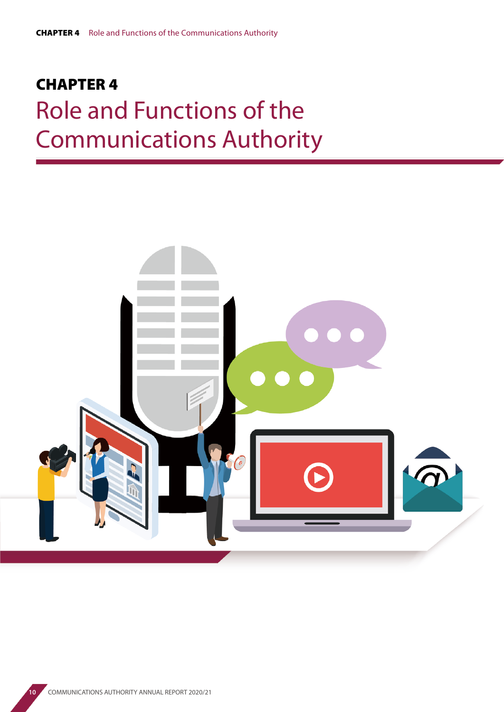# CHAPTER 4 Role and Functions of the Communications Authority

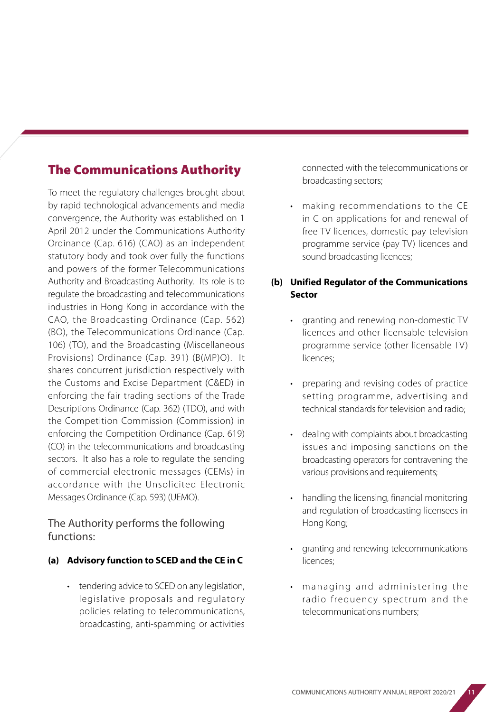# The Communications Authority

To meet the regulatory challenges brought about by rapid technological advancements and media convergence, the Authority was established on 1 April 2012 under the Communications Authority Ordinance (Cap. 616) (CAO) as an independent statutory body and took over fully the functions and powers of the former Telecommunications Authority and Broadcasting Authority. Its role is to regulate the broadcasting and telecommunications industries in Hong Kong in accordance with the CAO, the Broadcasting Ordinance (Cap. 562) (BO), the Telecommunications Ordinance (Cap. 106) (TO), and the Broadcasting (Miscellaneous Provisions) Ordinance (Cap. 391) (B(MP)O). It shares concurrent jurisdiction respectively with the Customs and Excise Department (C&ED) in enforcing the fair trading sections of the Trade Descriptions Ordinance (Cap. 362) (TDO), and with the Competition Commission (Commission) in enforcing the Competition Ordinance (Cap. 619) (CO) in the telecommunications and broadcasting sectors. It also has a role to regulate the sending of commercial electronic messages (CEMs) in accordance with the Unsolicited Electronic Messages Ordinance (Cap. 593) (UEMO).

### The Authority performs the following functions:

#### **(a) Advisory function to SCED and the CE in C**

tendering advice to SCED on any legislation, legislative proposals and regulatory policies relating to telecommunications, broadcasting, anti-spamming or activities

connected with the telecommunications or broadcasting sectors;

• making recommendations to the CE in C on applications for and renewal of free TV licences, domestic pay television programme service (pay TV) licences and sound broadcasting licences;

#### **(b) Unified Regulator of the Communications Sector**

- granting and renewing non-domestic TV licences and other licensable television programme service (other licensable TV) licences;
- preparing and revising codes of practice setting programme, advertising and technical standards for television and radio;
- dealing with complaints about broadcasting issues and imposing sanctions on the broadcasting operators for contravening the various provisions and requirements;
- handling the licensing, financial monitoring and regulation of broadcasting licensees in Hong Kong;
- granting and renewing telecommunications licences;
- managing and administering the radio frequency spectrum and the telecommunications numbers;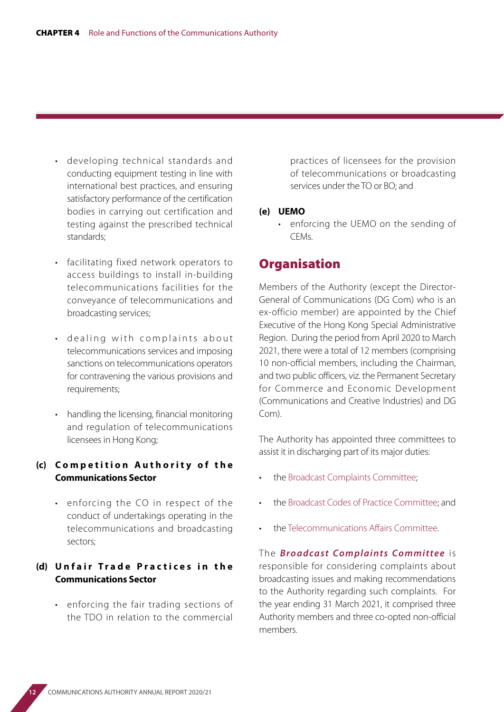- developing technical standards and conducting equipment testing in line with international best practices, and ensuring satisfactory performance of the certification bodies in carrying out certification and testing against the prescribed technical standards;
- facilitating fixed network operators to access buildings to install in-building telecommunications facilities for the conveyance of telecommunications and broadcasting services;
- dealing with complaints about telecommunications services and imposing sanctions on telecommunications operators for contravening the various provisions and requirements;
- handling the licensing, financial monitoring and regulation of telecommunications licensees in Hong Kong;

#### **(c) C o m p e t i t i o n A u t h o r i t y o f t h e Communications Sector**

• enforcing the CO in respect of the conduct of undertakings operating in the telecommunications and broadcasting sectors;

#### **(d) Unfair Trade Practices in the Communications Sector**

• enforcing the fair trading sections of the TDO in relation to the commercial

practices of licensees for the provision of telecommunications or broadcasting services under the TO or BO; and

#### **(e) UEMO**

• enforcing the UEMO on the sending of CEMs.

## **Organisation**

Members of the Authority (except the Director-General of Communications (DG Com) who is an ex-officio member) are appointed by the Chief Executive of the Hong Kong Special Administrative Region. During the period from April 2020 to March 2021, there were a total of 12 members (comprising 10 non-official members, including the Chairman, and two public officers, viz. the Permanent Secretary for Commerce and Economic Development (Communications and Creative Industries) and DG Com).

The Authority has appointed three committees to assist it in discharging part of its major duties:

- the Broadcast Complaints Committee;
- the Broadcast Codes of Practice Committee; and
- the Telecommunications Affairs Committee.

The **Broadcast Complaints Committee** is responsible for considering complaints about broadcasting issues and making recommendations to the Authority regarding such complaints. For the year ending 31 March 2021, it comprised three Authority members and three co-opted non-official members.